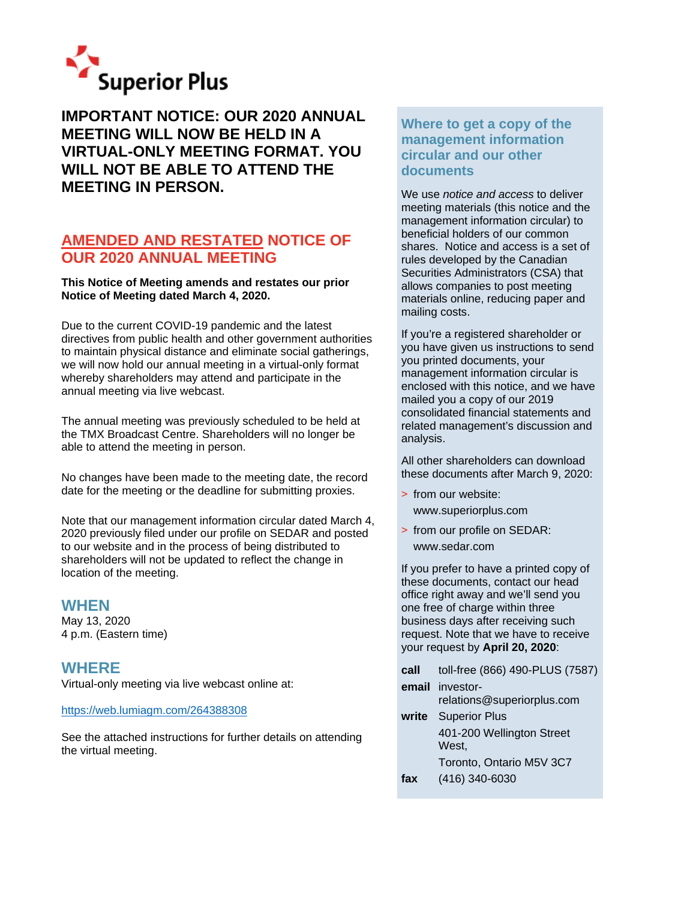

**IMPORTANT NOTICE: OUR 2020 ANNUAL MEETING WILL NOW BE HELD IN A VIRTUAL-ONLY MEETING FORMAT. YOU WILL NOT BE ABLE TO ATTEND THE MEETING IN PERSON.**

### **AMENDED AND RESTATED NOTICE OF OUR 2020 ANNUAL MEETING**

### **This Notice of Meeting amends and restates our prior Notice of Meeting dated March 4, 2020.**

Due to the current COVID-19 pandemic and the latest directives from public health and other government authorities to maintain physical distance and eliminate social gatherings, we will now hold our annual meeting in a virtual-only format whereby shareholders may attend and participate in the annual meeting via live webcast.

The annual meeting was previously scheduled to be held at the TMX Broadcast Centre. Shareholders will no longer be able to attend the meeting in person.

No changes have been made to the meeting date, the record date for the meeting or the deadline for submitting proxies.

Note that our management information circular dated March 4, 2020 previously filed under our profile on SEDAR and posted to our website and in the process of being distributed to shareholders will not be updated to reflect the change in location of the meeting.

### **WHEN**

May 13, 2020 4 p.m. (Eastern time)

## **WHERE**

Virtual-only meeting via live webcast online at:

### <https://web.lumiagm.com/264388308>

See the attached instructions for further details on attending the virtual meeting.

### **Where to get a copy of the management information circular and our other documents**

We use *notice and access* to deliver meeting materials (this notice and the management information circular) to beneficial holders of our common shares. Notice and access is a set of rules developed by the Canadian Securities Administrators (CSA) that allows companies to post meeting materials online, reducing paper and mailing costs.

If you're a registered shareholder or you have given us instructions to send you printed documents, your management information circular is enclosed with this notice, and we have mailed you a copy of our 2019 consolidated financial statements and related management's discussion and analysis.

All other shareholders can download these documents after March 9, 2020:

- > from our website: www.superiorplus.com
- > from our profile on SEDAR: www.sedar.com

If you prefer to have a printed copy of these documents, contact our head office right away and we'll send you one free of charge within three business days after receiving such request. Note that we have to receive your request by **April 20, 2020**:

| toll-free (866) 490-PLUS (7587)               |
|-----------------------------------------------|
| email investor-<br>relations@superiorplus.com |
| write Superior Plus                           |
| 401-200 Wellington Street<br>West.            |
| Toronto, Ontario M5V 3C7                      |
| (416) 340-6030                                |
|                                               |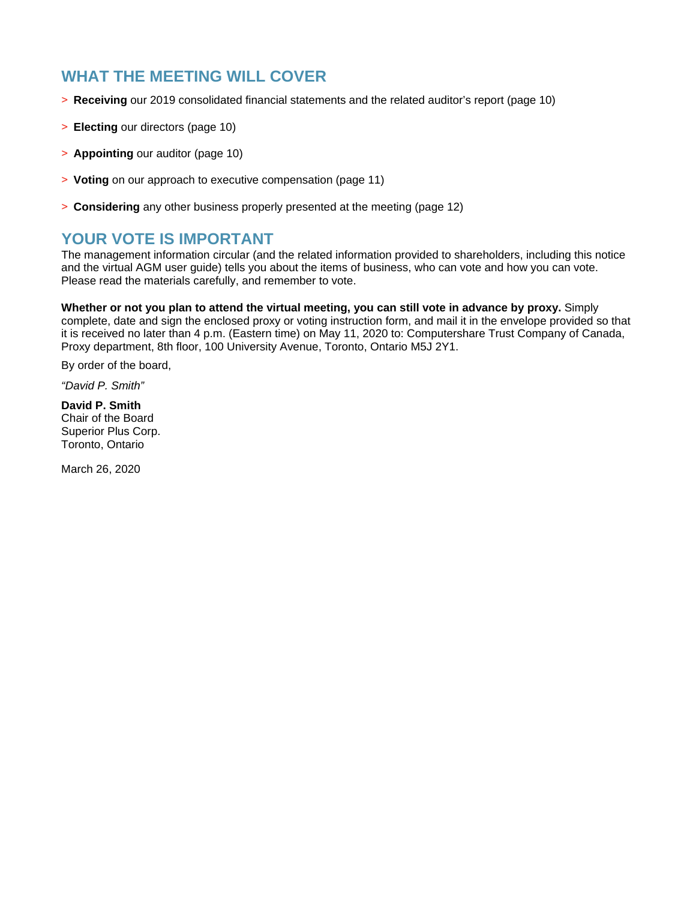# **WHAT THE MEETING WILL COVER**

- > **Receiving** our 2019 consolidated financial statements and the related auditor's report (page 10)
- > **Electing** our directors (page 10)
- > **Appointing** our auditor (page 10)
- > **Voting** on our approach to executive compensation (page 11)
- > **Considering** any other business properly presented at the meeting (page 12)

## **YOUR VOTE IS IMPORTANT**

The management information circular (and the related information provided to shareholders, including this notice and the virtual AGM user guide) tells you about the items of business, who can vote and how you can vote. Please read the materials carefully, and remember to vote.

**Whether or not you plan to attend the virtual meeting, you can still vote in advance by proxy.** Simply complete, date and sign the enclosed proxy or voting instruction form, and mail it in the envelope provided so that it is received no later than 4 p.m. (Eastern time) on May 11, 2020 to: Computershare Trust Company of Canada, Proxy department, 8th floor, 100 University Avenue, Toronto, Ontario M5J 2Y1.

By order of the board,

*"David P. Smith"*

**David P. Smith** Chair of the Board Superior Plus Corp. Toronto, Ontario

March 26, 2020